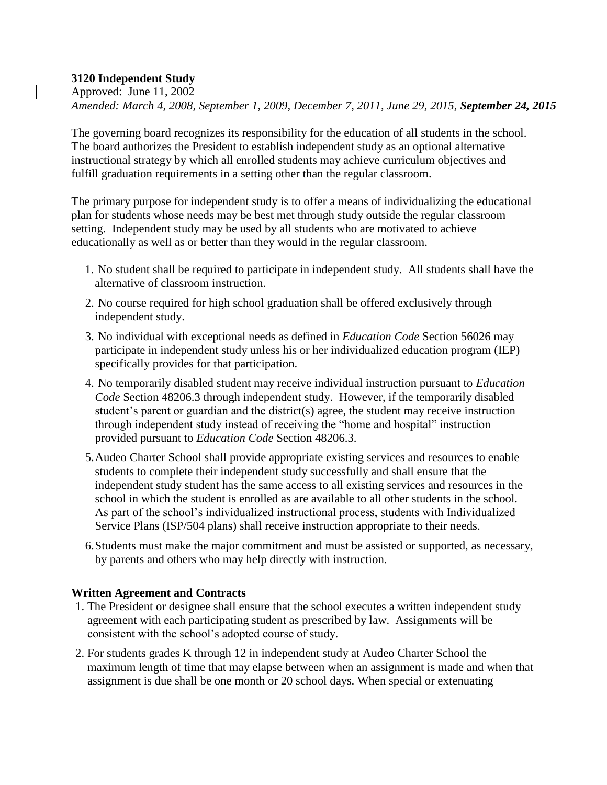## **3120 Independent Study**

Approved: June 11, 2002 *Amended: March 4, 2008, September 1, 2009, December 7, 2011, June 29, 2015, September 24, 2015*

The governing board recognizes its responsibility for the education of all students in the school. The board authorizes the President to establish independent study as an optional alternative instructional strategy by which all enrolled students may achieve curriculum objectives and fulfill graduation requirements in a setting other than the regular classroom.

The primary purpose for independent study is to offer a means of individualizing the educational plan for students whose needs may be best met through study outside the regular classroom setting. Independent study may be used by all students who are motivated to achieve educationally as well as or better than they would in the regular classroom.

- 1. No student shall be required to participate in independent study. All students shall have the alternative of classroom instruction.
- 2. No course required for high school graduation shall be offered exclusively through independent study.
- 3. No individual with exceptional needs as defined in *Education Code* Section 56026 may participate in independent study unless his or her individualized education program (IEP) specifically provides for that participation.
- 4. No temporarily disabled student may receive individual instruction pursuant to *Education Code* Section 48206.3 through independent study. However, if the temporarily disabled student's parent or guardian and the district(s) agree, the student may receive instruction through independent study instead of receiving the "home and hospital" instruction provided pursuant to *Education Code* Section 48206.3.
- 5.Audeo Charter School shall provide appropriate existing services and resources to enable students to complete their independent study successfully and shall ensure that the independent study student has the same access to all existing services and resources in the school in which the student is enrolled as are available to all other students in the school. As part of the school's individualized instructional process, students with Individualized Service Plans (ISP/504 plans) shall receive instruction appropriate to their needs.
- 6.Students must make the major commitment and must be assisted or supported, as necessary, by parents and others who may help directly with instruction.

## **Written Agreement and Contracts**

- 1. The President or designee shall ensure that the school executes a written independent study agreement with each participating student as prescribed by law. Assignments will be consistent with the school's adopted course of study.
- 2. For students grades K through 12 in independent study at Audeo Charter School the maximum length of time that may elapse between when an assignment is made and when that assignment is due shall be one month or 20 school days. When special or extenuating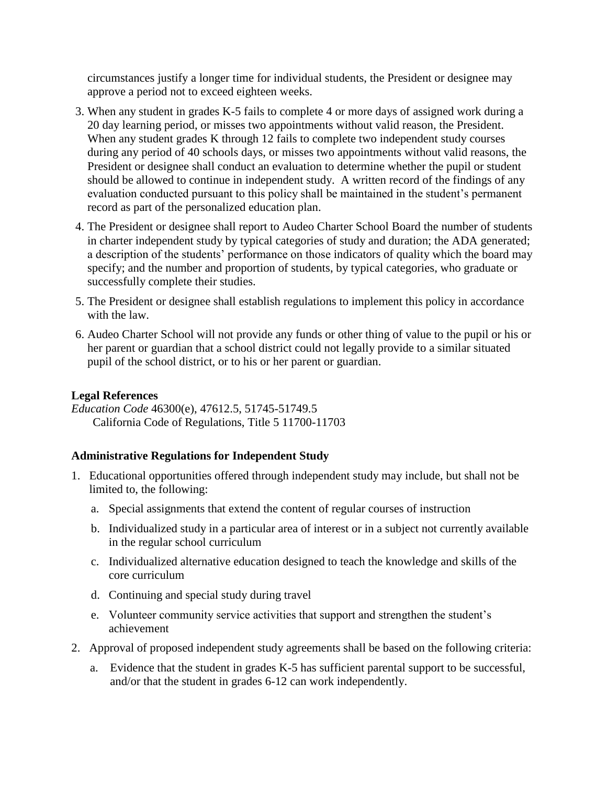circumstances justify a longer time for individual students, the President or designee may approve a period not to exceed eighteen weeks.

- 3. When any student in grades K-5 fails to complete 4 or more days of assigned work during a 20 day learning period, or misses two appointments without valid reason, the President. When any student grades K through 12 fails to complete two independent study courses during any period of 40 schools days, or misses two appointments without valid reasons, the President or designee shall conduct an evaluation to determine whether the pupil or student should be allowed to continue in independent study. A written record of the findings of any evaluation conducted pursuant to this policy shall be maintained in the student's permanent record as part of the personalized education plan.
- 4. The President or designee shall report to Audeo Charter School Board the number of students in charter independent study by typical categories of study and duration; the ADA generated; a description of the students' performance on those indicators of quality which the board may specify; and the number and proportion of students, by typical categories, who graduate or successfully complete their studies.
- 5. The President or designee shall establish regulations to implement this policy in accordance with the law.
- 6. Audeo Charter School will not provide any funds or other thing of value to the pupil or his or her parent or guardian that a school district could not legally provide to a similar situated pupil of the school district, or to his or her parent or guardian.

## **Legal References**

*Education Code* 46300(e), 47612.5, 51745-51749.5 California Code of Regulations, Title 5 11700-11703

## **Administrative Regulations for Independent Study**

- 1. Educational opportunities offered through independent study may include, but shall not be limited to, the following:
	- a. Special assignments that extend the content of regular courses of instruction
	- b. Individualized study in a particular area of interest or in a subject not currently available in the regular school curriculum
	- c. Individualized alternative education designed to teach the knowledge and skills of the core curriculum
	- d. Continuing and special study during travel
	- e. Volunteer community service activities that support and strengthen the student's achievement
- 2. Approval of proposed independent study agreements shall be based on the following criteria:
	- a. Evidence that the student in grades K-5 has sufficient parental support to be successful, and/or that the student in grades 6-12 can work independently.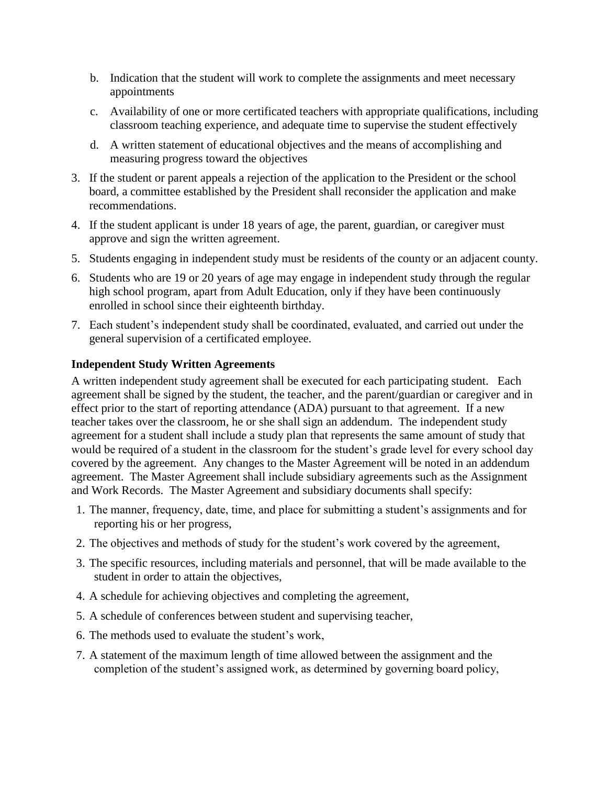- b. Indication that the student will work to complete the assignments and meet necessary appointments
- c. Availability of one or more certificated teachers with appropriate qualifications, including classroom teaching experience, and adequate time to supervise the student effectively
- d. A written statement of educational objectives and the means of accomplishing and measuring progress toward the objectives
- 3. If the student or parent appeals a rejection of the application to the President or the school board, a committee established by the President shall reconsider the application and make recommendations.
- 4. If the student applicant is under 18 years of age, the parent, guardian, or caregiver must approve and sign the written agreement.
- 5. Students engaging in independent study must be residents of the county or an adjacent county.
- 6. Students who are 19 or 20 years of age may engage in independent study through the regular high school program, apart from Adult Education, only if they have been continuously enrolled in school since their eighteenth birthday.
- 7. Each student's independent study shall be coordinated, evaluated, and carried out under the general supervision of a certificated employee.

#### **Independent Study Written Agreements**

A written independent study agreement shall be executed for each participating student. Each agreement shall be signed by the student, the teacher, and the parent/guardian or caregiver and in effect prior to the start of reporting attendance (ADA) pursuant to that agreement. If a new teacher takes over the classroom, he or she shall sign an addendum. The independent study agreement for a student shall include a study plan that represents the same amount of study that would be required of a student in the classroom for the student's grade level for every school day covered by the agreement. Any changes to the Master Agreement will be noted in an addendum agreement. The Master Agreement shall include subsidiary agreements such as the Assignment and Work Records. The Master Agreement and subsidiary documents shall specify:

- 1. The manner, frequency, date, time, and place for submitting a student's assignments and for reporting his or her progress,
- 2. The objectives and methods of study for the student's work covered by the agreement,
- 3. The specific resources, including materials and personnel, that will be made available to the student in order to attain the objectives,
- 4. A schedule for achieving objectives and completing the agreement,
- 5. A schedule of conferences between student and supervising teacher,
- 6. The methods used to evaluate the student's work,
- 7. A statement of the maximum length of time allowed between the assignment and the completion of the student's assigned work, as determined by governing board policy,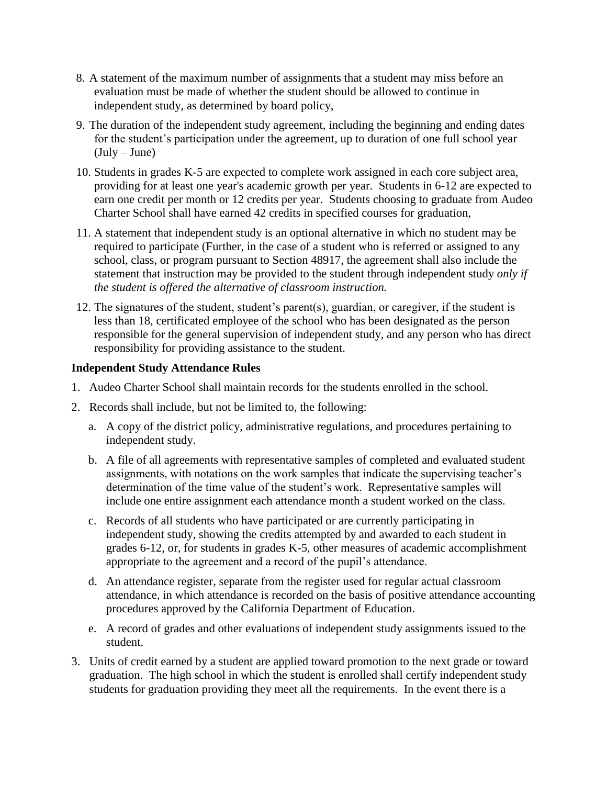- 8. A statement of the maximum number of assignments that a student may miss before an evaluation must be made of whether the student should be allowed to continue in independent study, as determined by board policy,
- 9. The duration of the independent study agreement, including the beginning and ending dates for the student's participation under the agreement, up to duration of one full school year  $(July-June)$
- 10. Students in grades K-5 are expected to complete work assigned in each core subject area, providing for at least one year's academic growth per year. Students in 6-12 are expected to earn one credit per month or 12 credits per year. Students choosing to graduate from Audeo Charter School shall have earned 42 credits in specified courses for graduation,
- 11. A statement that independent study is an optional alternative in which no student may be required to participate (Further, in the case of a student who is referred or assigned to any school, class, or program pursuant to Section 48917, the agreement shall also include the statement that instruction may be provided to the student through independent study *only if the student is offered the alternative of classroom instruction.*
- 12. The signatures of the student, student's parent(s), guardian, or caregiver, if the student is less than 18, certificated employee of the school who has been designated as the person responsible for the general supervision of independent study, and any person who has direct responsibility for providing assistance to the student.

## **Independent Study Attendance Rules**

- 1. Audeo Charter School shall maintain records for the students enrolled in the school.
- 2. Records shall include, but not be limited to, the following:
	- a. A copy of the district policy, administrative regulations, and procedures pertaining to independent study.
	- b. A file of all agreements with representative samples of completed and evaluated student assignments, with notations on the work samples that indicate the supervising teacher's determination of the time value of the student's work. Representative samples will include one entire assignment each attendance month a student worked on the class.
	- c. Records of all students who have participated or are currently participating in independent study, showing the credits attempted by and awarded to each student in grades 6-12, or, for students in grades K-5, other measures of academic accomplishment appropriate to the agreement and a record of the pupil's attendance.
	- d. An attendance register, separate from the register used for regular actual classroom attendance, in which attendance is recorded on the basis of positive attendance accounting procedures approved by the California Department of Education.
	- e. A record of grades and other evaluations of independent study assignments issued to the student.
- 3. Units of credit earned by a student are applied toward promotion to the next grade or toward graduation. The high school in which the student is enrolled shall certify independent study students for graduation providing they meet all the requirements. In the event there is a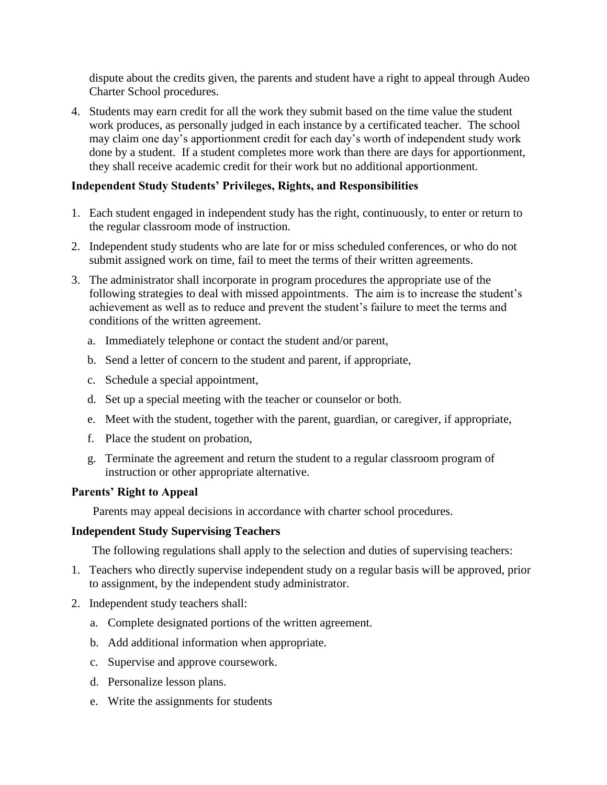dispute about the credits given, the parents and student have a right to appeal through Audeo Charter School procedures.

4. Students may earn credit for all the work they submit based on the time value the student work produces, as personally judged in each instance by a certificated teacher. The school may claim one day's apportionment credit for each day's worth of independent study work done by a student. If a student completes more work than there are days for apportionment, they shall receive academic credit for their work but no additional apportionment.

#### **Independent Study Students' Privileges, Rights, and Responsibilities**

- 1. Each student engaged in independent study has the right, continuously, to enter or return to the regular classroom mode of instruction.
- 2. Independent study students who are late for or miss scheduled conferences, or who do not submit assigned work on time, fail to meet the terms of their written agreements.
- 3. The administrator shall incorporate in program procedures the appropriate use of the following strategies to deal with missed appointments. The aim is to increase the student's achievement as well as to reduce and prevent the student's failure to meet the terms and conditions of the written agreement.
	- a. Immediately telephone or contact the student and/or parent,
	- b. Send a letter of concern to the student and parent, if appropriate,
	- c. Schedule a special appointment,
	- d. Set up a special meeting with the teacher or counselor or both.
	- e. Meet with the student, together with the parent, guardian, or caregiver, if appropriate,
	- f. Place the student on probation,
	- g. Terminate the agreement and return the student to a regular classroom program of instruction or other appropriate alternative.

#### **Parents' Right to Appeal**

Parents may appeal decisions in accordance with charter school procedures.

#### **Independent Study Supervising Teachers**

The following regulations shall apply to the selection and duties of supervising teachers:

- 1. Teachers who directly supervise independent study on a regular basis will be approved, prior to assignment, by the independent study administrator.
- 2. Independent study teachers shall:
	- a. Complete designated portions of the written agreement.
	- b. Add additional information when appropriate.
	- c. Supervise and approve coursework.
	- d. Personalize lesson plans.
	- e. Write the assignments for students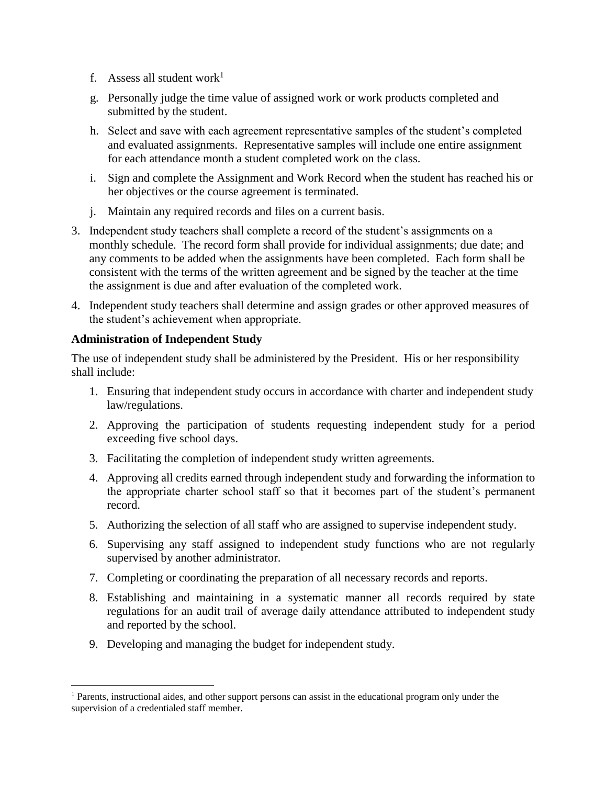- f. Assess all student work<sup>1</sup>
- g. Personally judge the time value of assigned work or work products completed and submitted by the student.
- h. Select and save with each agreement representative samples of the student's completed and evaluated assignments. Representative samples will include one entire assignment for each attendance month a student completed work on the class.
- i. Sign and complete the Assignment and Work Record when the student has reached his or her objectives or the course agreement is terminated.
- j. Maintain any required records and files on a current basis.
- 3. Independent study teachers shall complete a record of the student's assignments on a monthly schedule. The record form shall provide for individual assignments; due date; and any comments to be added when the assignments have been completed. Each form shall be consistent with the terms of the written agreement and be signed by the teacher at the time the assignment is due and after evaluation of the completed work.
- 4. Independent study teachers shall determine and assign grades or other approved measures of the student's achievement when appropriate.

# **Administration of Independent Study**

 $\overline{a}$ 

The use of independent study shall be administered by the President. His or her responsibility shall include:

- 1. Ensuring that independent study occurs in accordance with charter and independent study law/regulations.
- 2. Approving the participation of students requesting independent study for a period exceeding five school days.
- 3. Facilitating the completion of independent study written agreements.
- 4. Approving all credits earned through independent study and forwarding the information to the appropriate charter school staff so that it becomes part of the student's permanent record.
- 5. Authorizing the selection of all staff who are assigned to supervise independent study.
- 6. Supervising any staff assigned to independent study functions who are not regularly supervised by another administrator.
- 7. Completing or coordinating the preparation of all necessary records and reports.
- 8. Establishing and maintaining in a systematic manner all records required by state regulations for an audit trail of average daily attendance attributed to independent study and reported by the school.
- 9. Developing and managing the budget for independent study.

<sup>&</sup>lt;sup>1</sup> Parents, instructional aides, and other support persons can assist in the educational program only under the supervision of a credentialed staff member.